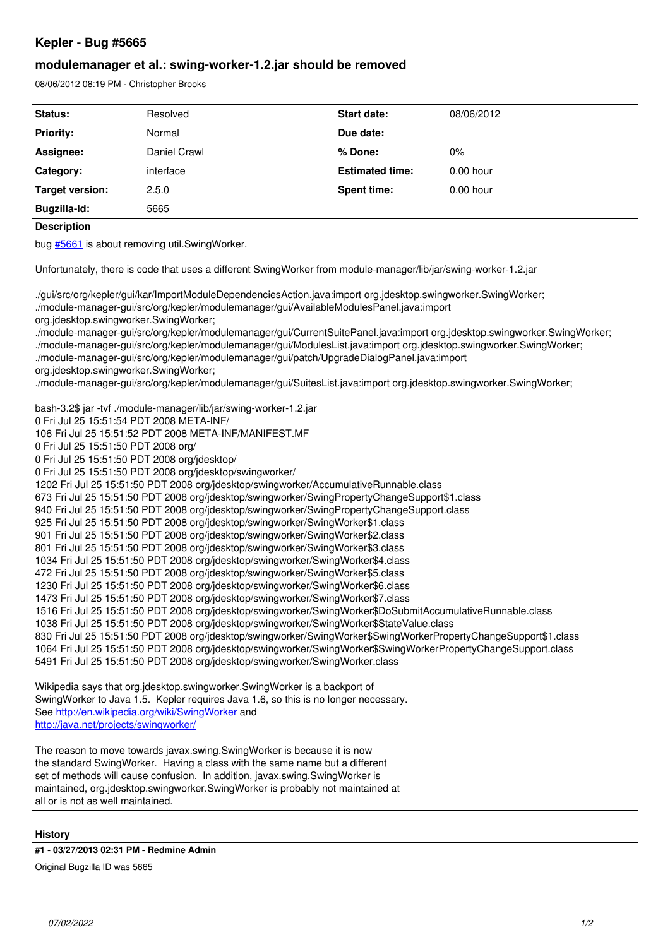## **Kepler - Bug #5665**

## **modulemanager et al.: swing-worker-1.2.jar should be removed**

08/06/2012 08:19 PM - Christopher Brooks

| Status:                                                                                                                                                                                                                                                                                                                                                                                                                                                                                                                                                                                                                                                                                                                                                                                                                                                                                                                                                                                                                                                                                                                                                                                                                                                                                                                                                                                                                                                                                                                                                                                                                                                                                                                                            | Resolved     | Start date:            | 08/06/2012 |
|----------------------------------------------------------------------------------------------------------------------------------------------------------------------------------------------------------------------------------------------------------------------------------------------------------------------------------------------------------------------------------------------------------------------------------------------------------------------------------------------------------------------------------------------------------------------------------------------------------------------------------------------------------------------------------------------------------------------------------------------------------------------------------------------------------------------------------------------------------------------------------------------------------------------------------------------------------------------------------------------------------------------------------------------------------------------------------------------------------------------------------------------------------------------------------------------------------------------------------------------------------------------------------------------------------------------------------------------------------------------------------------------------------------------------------------------------------------------------------------------------------------------------------------------------------------------------------------------------------------------------------------------------------------------------------------------------------------------------------------------------|--------------|------------------------|------------|
| <b>Priority:</b>                                                                                                                                                                                                                                                                                                                                                                                                                                                                                                                                                                                                                                                                                                                                                                                                                                                                                                                                                                                                                                                                                                                                                                                                                                                                                                                                                                                                                                                                                                                                                                                                                                                                                                                                   | Normal       | Due date:              |            |
| Assignee:                                                                                                                                                                                                                                                                                                                                                                                                                                                                                                                                                                                                                                                                                                                                                                                                                                                                                                                                                                                                                                                                                                                                                                                                                                                                                                                                                                                                                                                                                                                                                                                                                                                                                                                                          | Daniel Crawl | % Done:                | $0\%$      |
| Category:                                                                                                                                                                                                                                                                                                                                                                                                                                                                                                                                                                                                                                                                                                                                                                                                                                                                                                                                                                                                                                                                                                                                                                                                                                                                                                                                                                                                                                                                                                                                                                                                                                                                                                                                          | interface    | <b>Estimated time:</b> | 0.00 hour  |
| <b>Target version:</b>                                                                                                                                                                                                                                                                                                                                                                                                                                                                                                                                                                                                                                                                                                                                                                                                                                                                                                                                                                                                                                                                                                                                                                                                                                                                                                                                                                                                                                                                                                                                                                                                                                                                                                                             | 2.5.0        | <b>Spent time:</b>     | 0.00 hour  |
| Bugzilla-Id:                                                                                                                                                                                                                                                                                                                                                                                                                                                                                                                                                                                                                                                                                                                                                                                                                                                                                                                                                                                                                                                                                                                                                                                                                                                                                                                                                                                                                                                                                                                                                                                                                                                                                                                                       | 5665         |                        |            |
| <b>Description</b>                                                                                                                                                                                                                                                                                                                                                                                                                                                                                                                                                                                                                                                                                                                                                                                                                                                                                                                                                                                                                                                                                                                                                                                                                                                                                                                                                                                                                                                                                                                                                                                                                                                                                                                                 |              |                        |            |
| bug #5661 is about removing util.SwingWorker.                                                                                                                                                                                                                                                                                                                                                                                                                                                                                                                                                                                                                                                                                                                                                                                                                                                                                                                                                                                                                                                                                                                                                                                                                                                                                                                                                                                                                                                                                                                                                                                                                                                                                                      |              |                        |            |
| Unfortunately, there is code that uses a different SwingWorker from module-manager/lib/jar/swing-worker-1.2.jar                                                                                                                                                                                                                                                                                                                                                                                                                                                                                                                                                                                                                                                                                                                                                                                                                                                                                                                                                                                                                                                                                                                                                                                                                                                                                                                                                                                                                                                                                                                                                                                                                                    |              |                        |            |
| ./gui/src/org/kepler/gui/kar/ImportModuleDependenciesAction.java:import org.jdesktop.swingworker.SwingWorker;<br>./module-manager-gui/src/org/kepler/modulemanager/gui/AvailableModulesPanel.java:import<br>org.jdesktop.swingworker.SwingWorker;<br>./module-manager-gui/src/org/kepler/modulemanager/gui/CurrentSuitePanel.java:import org.jdesktop.swingworker.SwingWorker;<br>./module-manager-gui/src/org/kepler/modulemanager/gui/ModulesList.java:import org.jdesktop.swingworker.SwingWorker;<br>./module-manager-gui/src/org/kepler/modulemanager/gui/patch/UpgradeDialogPanel.java:import<br>org.jdesktop.swingworker.SwingWorker;<br>./module-manager-gui/src/org/kepler/modulemanager/gui/SuitesList.java:import org.jdesktop.swingworker.SwingWorker;                                                                                                                                                                                                                                                                                                                                                                                                                                                                                                                                                                                                                                                                                                                                                                                                                                                                                                                                                                                 |              |                        |            |
| bash-3.2\$ jar -tvf ./module-manager/lib/jar/swing-worker-1.2.jar<br>0 Fri Jul 25 15:51:54 PDT 2008 META-INF/<br>106 Fri Jul 25 15:51:52 PDT 2008 META-INF/MANIFEST.MF<br>0 Fri Jul 25 15:51:50 PDT 2008 org/<br>0 Fri Jul 25 15:51:50 PDT 2008 org/jdesktop/<br>0 Fri Jul 25 15:51:50 PDT 2008 org/jdesktop/swingworker/<br>1202 Fri Jul 25 15:51:50 PDT 2008 org/jdesktop/swingworker/AccumulativeRunnable.class<br>673 Fri Jul 25 15:51:50 PDT 2008 org/jdesktop/swingworker/SwingPropertyChangeSupport\$1.class<br>940 Fri Jul 25 15:51:50 PDT 2008 org/jdesktop/swingworker/SwingPropertyChangeSupport.class<br>925 Fri Jul 25 15:51:50 PDT 2008 org/jdesktop/swingworker/SwingWorker\$1.class<br>901 Fri Jul 25 15:51:50 PDT 2008 org/jdesktop/swingworker/SwingWorker\$2.class<br>801 Fri Jul 25 15:51:50 PDT 2008 org/jdesktop/swingworker/SwingWorker\$3.class<br>1034 Fri Jul 25 15:51:50 PDT 2008 org/jdesktop/swingworker/SwingWorker\$4.class<br>472 Fri Jul 25 15:51:50 PDT 2008 org/jdesktop/swingworker/SwingWorker\$5.class<br>1230 Fri Jul 25 15:51:50 PDT 2008 org/jdesktop/swingworker/SwingWorker\$6.class<br>1473 Fri Jul 25 15:51:50 PDT 2008 org/jdesktop/swingworker/SwingWorker\$7.class<br>1516 Fri Jul 25 15:51:50 PDT 2008 org/jdesktop/swingworker/SwingWorker\$DoSubmitAccumulativeRunnable.class<br>1038 Fri Jul 25 15:51:50 PDT 2008 org/jdesktop/swingworker/SwingWorker\$StateValue.class<br>830 Fri Jul 25 15:51:50 PDT 2008 org/jdesktop/swingworker/SwingWorker\$SwingWorkerPropertyChangeSupport\$1.class<br>1064 Fri Jul 25 15:51:50 PDT 2008 org/jdesktop/swingworker/SwingWorker\$SwingWorkerPropertyChangeSupport.class<br>5491 Fri Jul 25 15:51:50 PDT 2008 org/jdesktop/swingworker/SwingWorker.class |              |                        |            |
| Wikipedia says that org.jdesktop.swingworker.SwingWorker is a backport of<br>SwingWorker to Java 1.5. Kepler requires Java 1.6, so this is no longer necessary.<br>See http://en.wikipedia.org/wiki/SwingWorker and<br>http://java.net/projects/swingworker/                                                                                                                                                                                                                                                                                                                                                                                                                                                                                                                                                                                                                                                                                                                                                                                                                                                                                                                                                                                                                                                                                                                                                                                                                                                                                                                                                                                                                                                                                       |              |                        |            |
| The reason to move towards javax.swing.SwingWorker is because it is now<br>the standard SwingWorker. Having a class with the same name but a different<br>set of methods will cause confusion. In addition, javax.swing.SwingWorker is<br>maintained, org.jdesktop.swingworker.SwingWorker is probably not maintained at<br>all or is not as well maintained.                                                                                                                                                                                                                                                                                                                                                                                                                                                                                                                                                                                                                                                                                                                                                                                                                                                                                                                                                                                                                                                                                                                                                                                                                                                                                                                                                                                      |              |                        |            |

**History**

**#1 - 03/27/2013 02:31 PM - Redmine Admin**

Original Bugzilla ID was 5665